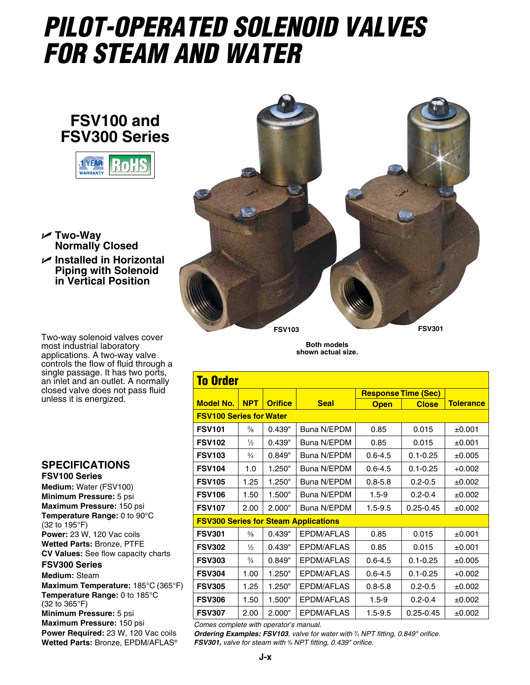## *Pilot-Operated Solenoid Valves for steam and water*

## **FSV100 and FSV300 Series**



U **Two-Way Normally Closed** U **Installed in Horizontal Piping with Solenoid in Vertical Position**

Two-way solenoid valves cover most industrial laboratory applications. A two-way valve controls the flow of fluid through a single passage. It has two ports, an inlet and an outlet. A normally closed valve does not pass fluid unless it is energized.

## **Specifications**

**FSV100 Series Medium:** Water (FSV100) **Minimum Pressure:** 5 psi **Maximum Pressure:** 150 psi **Temperature Range:** 0 to 90°C (32 to 195°F) **Power:** 23 W, 120 Vac coils **Wetted Parts:** Bronze, PTFE **CV Values:** See flow capacity charts

## **FSV300 Series**

**Medium:** Steam **Maximum Temperature:** 185°C (365°F) **Temperature Range:** 0 to 185°C (32 to 365°F) **Minimum Pressure:** 5 psi

**Maximum Pressure:** 150 psi **Power Required:** 23 W, 120 Vac coils **Wetted Parts:** Bronze, EPDM/AFLAS®



**Both models shown actual size.**

| <b>To Order</b>                             |               |                |                   |                            |               |                  |  |  |  |  |  |  |
|---------------------------------------------|---------------|----------------|-------------------|----------------------------|---------------|------------------|--|--|--|--|--|--|
|                                             |               |                |                   | <b>Response Time (Sec)</b> |               |                  |  |  |  |  |  |  |
| <b>Model No.</b>                            | <b>NPT</b>    | <b>Orifice</b> | <b>Seal</b>       | <b>Open</b>                | <b>Close</b>  | <b>Tolerance</b> |  |  |  |  |  |  |
| <b>FSV100 Series for Water</b>              |               |                |                   |                            |               |                  |  |  |  |  |  |  |
| <b>FSV101</b>                               | $\frac{3}{8}$ | 0.439"         | Buna N/EPDM       | 0.85                       | 0.015         | ±0.001           |  |  |  |  |  |  |
| <b>FSV102</b>                               | $\frac{1}{2}$ | 0.439"         | Buna N/EPDM       | 0.85                       | 0.015         | ±0.001           |  |  |  |  |  |  |
| <b>FSV103</b>                               | $\frac{3}{4}$ | 0.849"         | Buna N/EPDM       | $0.6 - 4.5$                | $0.1 - 0.25$  | ±0.005           |  |  |  |  |  |  |
| <b>FSV104</b>                               | 1.0           | 1.250"         | Buna N/EPDM       | $0.6 - 4.5$                | $0.1 - 0.25$  | $+0.002$         |  |  |  |  |  |  |
| <b>FSV105</b>                               | 1.25          | 1.250"         | Buna N/EPDM       | $0.8 - 5.8$                | $0.2 - 0.5$   | ±0.002           |  |  |  |  |  |  |
| <b>FSV106</b>                               | 1.50          | 1.500"         | Buna N/EPDM       | $1.5 - 9$                  | $0.2 - 0.4$   | ±0.002           |  |  |  |  |  |  |
| <b>FSV107</b>                               | 2.00          | 2.000"         | Buna N/EPDM       | $1.5 - 9.5$                | $0.25 - 0.45$ | ±0.002           |  |  |  |  |  |  |
| <b>FSV300 Series for Steam Applications</b> |               |                |                   |                            |               |                  |  |  |  |  |  |  |
| <b>FSV301</b>                               | $\frac{3}{8}$ | 0.439"         | EPDM/AFLAS        | 0.85                       | 0.015         | ±0.001           |  |  |  |  |  |  |
| <b>FSV302</b>                               | $\frac{1}{2}$ | 0.439"         | EPDM/AFLAS        | 0.85                       | 0.015         | ±0.001           |  |  |  |  |  |  |
| <b>FSV303</b>                               | $\frac{3}{4}$ | 0.849"         | EPDM/AFLAS        | $0.6 - 4.5$                | $0.1 - 0.25$  | ±0.005           |  |  |  |  |  |  |
| <b>FSV304</b>                               | 1.00          | 1.250"         | EPDM/AFLAS        | $0.6 - 4.5$                | $0.1 - 0.25$  | $+0.002$         |  |  |  |  |  |  |
| <b>FSV305</b>                               | 1.25          | 1.250"         | EPDM/AFLAS        | $0.8 - 5.8$                | $0.2 - 0.5$   | ±0.002           |  |  |  |  |  |  |
| <b>FSV306</b>                               | 1.50          | 1.500"         | EPDM/AFLAS        | $1.5 - 9$                  | $0.2 - 0.4$   | ±0.002           |  |  |  |  |  |  |
| <b>FSV307</b>                               | 2.00          | 2.000"         | <b>EPDM/AFLAS</b> | $1.5 - 9.5$                | $0.25 - 0.45$ | ±0.002           |  |  |  |  |  |  |

*Comes complete with operator's manual.*

*Ordering Examples: FSV103, valve for water with 3 /4 NPT fitting, 0.849" orifice. FSV301, valve for steam with <sup>3</sup>/8</sup> NPT fitting, 0.439" orifice.*